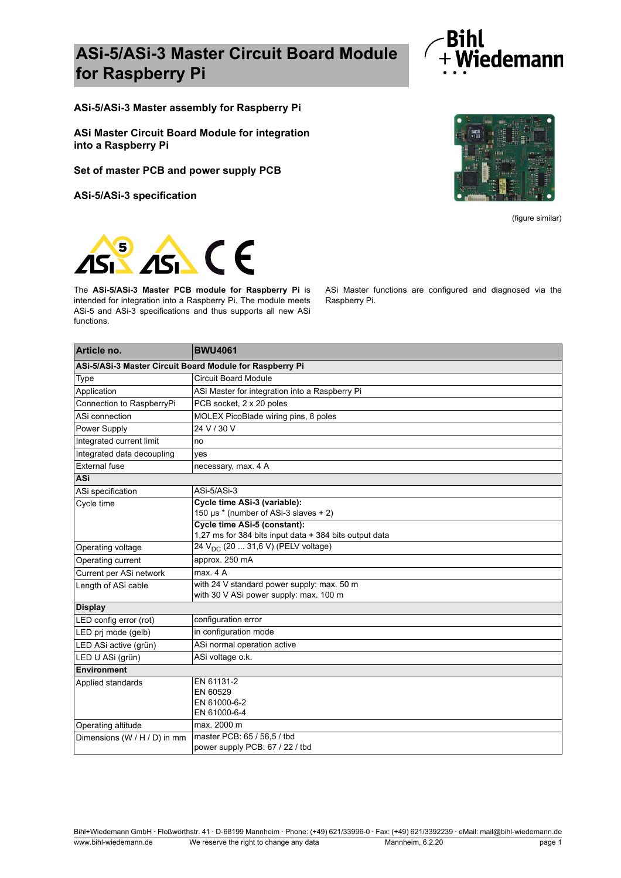## **ASi-5/ASi-3 Master Circuit Board Module for Raspberry Pi**



**ASi-5/ASi-3 Master assembly for Raspberry Pi**

**ASi Master Circuit Board Module for integration into a Raspberry Pi**

**Set of master PCB and power supply PCB**

**ASi-5/ASi-3 specification**



(figure similar)



The **ASi-5/ASi-3 Master PCB module for Raspberry Pi** is intended for integration into a Raspberry Pi. The module meets ASi-5 and ASi-3 specifications and thus supports all new ASi functions.

ASi Master functions are configured and diagnosed via the Raspberry Pi.

| Article no.                                              | <b>BWU4061</b>                                                                         |  |
|----------------------------------------------------------|----------------------------------------------------------------------------------------|--|
| ASi-5/ASi-3 Master Circuit Board Module for Raspberry Pi |                                                                                        |  |
| Type                                                     | <b>Circuit Board Module</b>                                                            |  |
| Application                                              | ASi Master for integration into a Raspberry Pi                                         |  |
| Connection to RaspberryPi                                | PCB socket, 2 x 20 poles                                                               |  |
| ASi connection                                           | MOLEX PicoBlade wiring pins, 8 poles                                                   |  |
| Power Supply                                             | 24 V / 30 V                                                                            |  |
| Integrated current limit                                 | no                                                                                     |  |
| Integrated data decoupling                               | yes                                                                                    |  |
| <b>External fuse</b>                                     | necessary, max. 4 A                                                                    |  |
| <b>ASi</b>                                               |                                                                                        |  |
| ASi specification                                        | ASi-5/ASi-3                                                                            |  |
| Cycle time                                               | Cycle time ASi-3 (variable):<br>150 µs * (number of ASi-3 slaves + 2)                  |  |
|                                                          | Cycle time ASi-5 (constant):<br>1,27 ms for 384 bits input data + 384 bits output data |  |
| Operating voltage                                        | 24 V <sub>DC</sub> (20  31,6 V) (PELV voltage)                                         |  |
| Operating current                                        | approx. 250 mA                                                                         |  |
| Current per ASi network                                  | max. 4 A                                                                               |  |
| Length of ASi cable                                      | with 24 V standard power supply: max. 50 m<br>with 30 V ASi power supply: max. 100 m   |  |
| <b>Display</b>                                           |                                                                                        |  |
| LED config error (rot)                                   | configuration error                                                                    |  |
| LED prj mode (gelb)                                      | in configuration mode                                                                  |  |
| LED ASi active (grün)                                    | ASi normal operation active                                                            |  |
| LED U ASi (grün)                                         | ASi voltage o.k.                                                                       |  |
| <b>Environment</b>                                       |                                                                                        |  |
| Applied standards                                        | EN 61131-2                                                                             |  |
|                                                          | EN 60529<br>EN 61000-6-2                                                               |  |
|                                                          | EN 61000-6-4                                                                           |  |
| Operating altitude                                       | max. 2000 m                                                                            |  |
| Dimensions (W / H / D) in mm                             | master PCB: 65 / 56,5 / tbd                                                            |  |
|                                                          | power supply PCB: 67 / 22 / tbd                                                        |  |

Bihl+Wiedemann GmbH · Floßwörthstr. 41 · D-68199 Mannheim · Phone: (+49) 621/33996-0 · Fax: (+49) 621/3392239 · eMail: mail@bihl-wiedemann.de www.bihl-wiedemann.de We reserve the right to change any data Mannheim, 6.2.20 Mannheim, 6.2.20 page 1